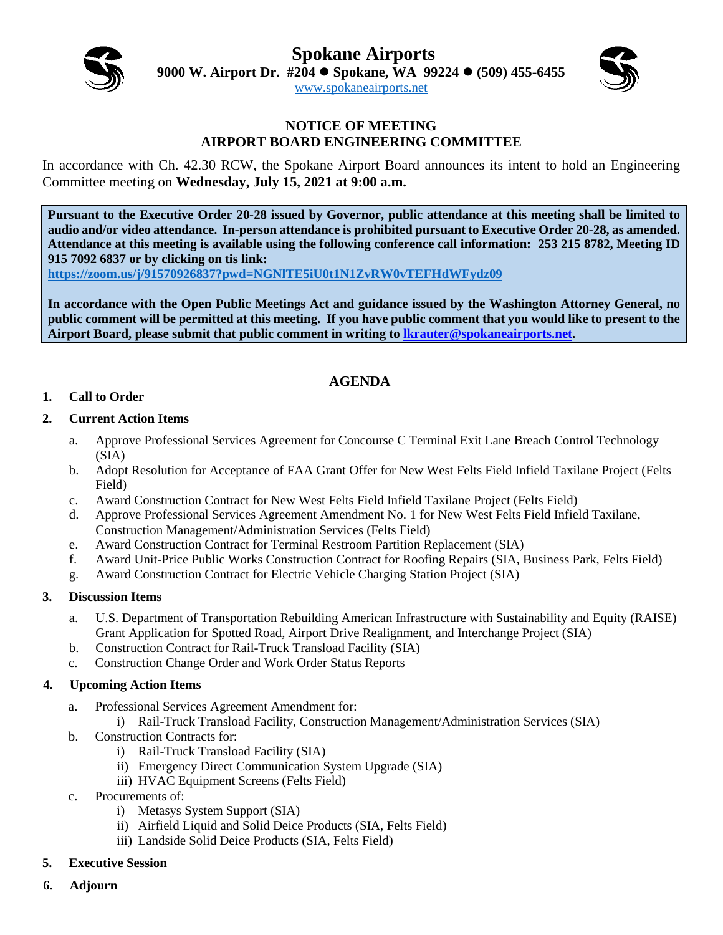**Spokane Airports**



**9000 W. Airport Dr. #204 Spokane, WA 99224 (509) 455-6455**

[www.spokaneairports.net](http://www.spokaneairports.net/)

#### **NOTICE OF MEETING AIRPORT BOARD ENGINEERING COMMITTEE**

In accordance with Ch. 42.30 RCW, the Spokane Airport Board announces its intent to hold an Engineering Committee meeting on **Wednesday, July 15, 2021 at 9:00 a.m.** 

**Pursuant to the Executive Order 20-28 issued by Governor, public attendance at this meeting shall be limited to audio and/or video attendance. In-person attendance is prohibited pursuant to Executive Order 20-28, as amended. Attendance at this meeting is available using the following conference call information: 253 215 8782, Meeting ID 915 7092 6837 or by clicking on tis link:** 

**<https://zoom.us/j/91570926837?pwd=NGNlTE5iU0t1N1ZvRW0vTEFHdWFydz09>**

**In accordance with the Open Public Meetings Act and guidance issued by the Washington Attorney General, no public comment will be permitted at this meeting. If you have public comment that you would like to present to the Airport Board, please submit that public comment in writing to [lkrauter@spokaneairports.net.](mailto:lkrauter@spokaneairports.net)**

# **AGENDA**

#### **1. Call to Order**

#### **2. Current Action Items**

- a. Approve Professional Services Agreement for Concourse C Terminal Exit Lane Breach Control Technology (SIA)
- b. Adopt Resolution for Acceptance of FAA Grant Offer for New West Felts Field Infield Taxilane Project (Felts Field)
- c. Award Construction Contract for New West Felts Field Infield Taxilane Project (Felts Field)
- d. Approve Professional Services Agreement Amendment No. 1 for New West Felts Field Infield Taxilane, Construction Management/Administration Services (Felts Field)
- e. Award Construction Contract for Terminal Restroom Partition Replacement (SIA)
- f. Award Unit-Price Public Works Construction Contract for Roofing Repairs (SIA, Business Park, Felts Field)
- g. Award Construction Contract for Electric Vehicle Charging Station Project (SIA)

#### **3. Discussion Items**

- a. U.S. Department of Transportation Rebuilding American Infrastructure with Sustainability and Equity (RAISE) Grant Application for Spotted Road, Airport Drive Realignment, and Interchange Project (SIA)
- b. Construction Contract for Rail-Truck Transload Facility (SIA)
- c. Construction Change Order and Work Order Status Reports

#### **4. Upcoming Action Items**

- a. Professional Services Agreement Amendment for:
	- i) Rail-Truck Transload Facility, Construction Management/Administration Services (SIA)
- b. Construction Contracts for:
	- i) Rail-Truck Transload Facility (SIA)
	- ii) Emergency Direct Communication System Upgrade (SIA)
	- iii) HVAC Equipment Screens (Felts Field)
- c. Procurements of:
	- i) Metasys System Support (SIA)
	- ii) Airfield Liquid and Solid Deice Products (SIA, Felts Field)
	- iii) Landside Solid Deice Products (SIA, Felts Field)
- **5. Executive Session**
- **6. Adjourn**